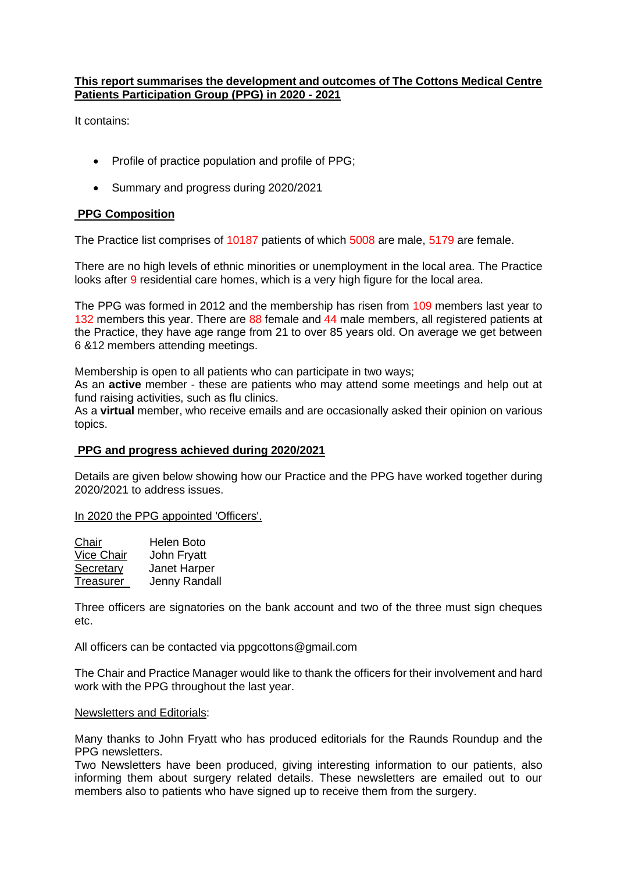# **This report summarises the development and outcomes of The Cottons Medical Centre Patients Participation Group (PPG) in 2020 - 2021**

It contains:

- Profile of practice population and profile of PPG;
- Summary and progress during 2020/2021

## **PPG Composition**

The Practice list comprises of 10187 patients of which 5008 are male, 5179 are female.

There are no high levels of ethnic minorities or unemployment in the local area. The Practice looks after 9 residential care homes, which is a very high figure for the local area.

The PPG was formed in 2012 and the membership has risen from 109 members last year to 132 members this year. There are 88 female and 44 male members, all registered patients at the Practice, they have age range from 21 to over 85 years old. On average we get between 6 &12 members attending meetings.

Membership is open to all patients who can participate in two ways;

As an **active** member - these are patients who may attend some meetings and help out at fund raising activities, such as flu clinics.

As a **virtual** member, who receive emails and are occasionally asked their opinion on various topics.

#### **PPG and progress achieved during 2020/2021**

Details are given below showing how our Practice and the PPG have worked together during 2020/2021 to address issues.

In 2020 the PPG appointed 'Officers'.

| Chair             | Helen Boto    |
|-------------------|---------------|
| <b>Vice Chair</b> | John Fryatt   |
| Secretary         | Janet Harper  |
| Treasurer         | Jenny Randall |

Three officers are signatories on the bank account and two of the three must sign cheques etc.

All officers can be contacted via ppgcottons@gmail.com

The Chair and Practice Manager would like to thank the officers for their involvement and hard work with the PPG throughout the last year.

#### Newsletters and Editorials:

Many thanks to John Fryatt who has produced editorials for the Raunds Roundup and the PPG newsletters.

Two Newsletters have been produced, giving interesting information to our patients, also informing them about surgery related details. These newsletters are emailed out to our members also to patients who have signed up to receive them from the surgery.